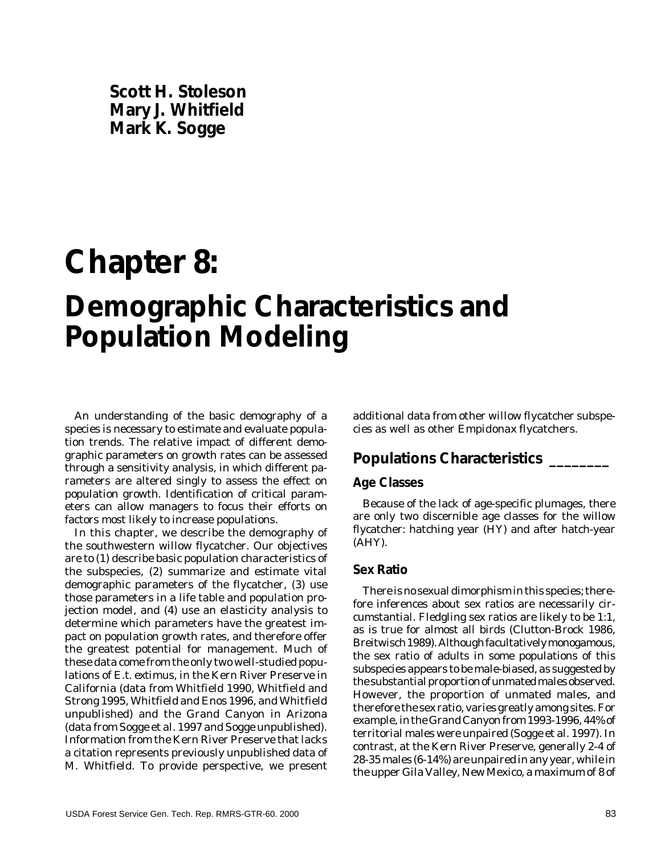**Scott H. Stoleson Mary J. Whitfield Mark K. Sogge**

# **Chapter 8: Demographic Characteristics and Population Modeling**

An understanding of the basic demography of a species is necessary to estimate and evaluate population trends. The relative impact of different demographic parameters on growth rates can be assessed through a sensitivity analysis, in which different parameters are altered singly to assess the effect on population growth. Identification of critical parameters can allow managers to focus their efforts on factors most likely to increase populations.

In this chapter, we describe the demography of the southwestern willow flycatcher. Our objectives are to (1) describe basic population characteristics of the subspecies, (2) summarize and estimate vital demographic parameters of the flycatcher, (3) use those parameters in a life table and population projection model, and (4) use an elasticity analysis to determine which parameters have the greatest impact on population growth rates, and therefore offer the greatest potential for management. Much of these data come from the only two well-studied populations of *E.t. extimus*, in the Kern River Preserve in California (data from Whitfield 1990, Whitfield and Strong 1995, Whitfield and Enos 1996, and Whitfield unpublished) and the Grand Canyon in Arizona (data from Sogge et al. 1997 and Sogge unpublished). Information from the Kern River Preserve that lacks a citation represents previously unpublished data of M. Whitfield. To provide perspective, we present

additional data from other willow flycatcher subspecies as well as other *Empidonax* flycatchers.

## **Populations Characteristics \_\_\_\_\_\_\_\_**

#### **Age Classes**

Because of the lack of age-specific plumages, there are only two discernible age classes for the willow flycatcher: hatching year (HY) and after hatch-year (AHY).

#### **Sex Ratio**

There is no sexual dimorphism in this species; therefore inferences about sex ratios are necessarily circumstantial. Fledgling sex ratios are likely to be 1:1, as is true for almost all birds (Clutton-Brock 1986, Breitwisch 1989). Although facultatively monogamous, the sex ratio of adults in some populations of this subspecies appears to be male-biased, as suggested by the substantial proportion of unmated males observed. However, the proportion of unmated males, and therefore the sex ratio, varies greatly among sites. For example, in the Grand Canyon from 1993-1996, 44% of territorial males were unpaired (Sogge et al. 1997). In contrast, at the Kern River Preserve, generally 2-4 of 28-35 males (6-14%) are unpaired in any year, while in the upper Gila Valley, New Mexico, a maximum of 8 of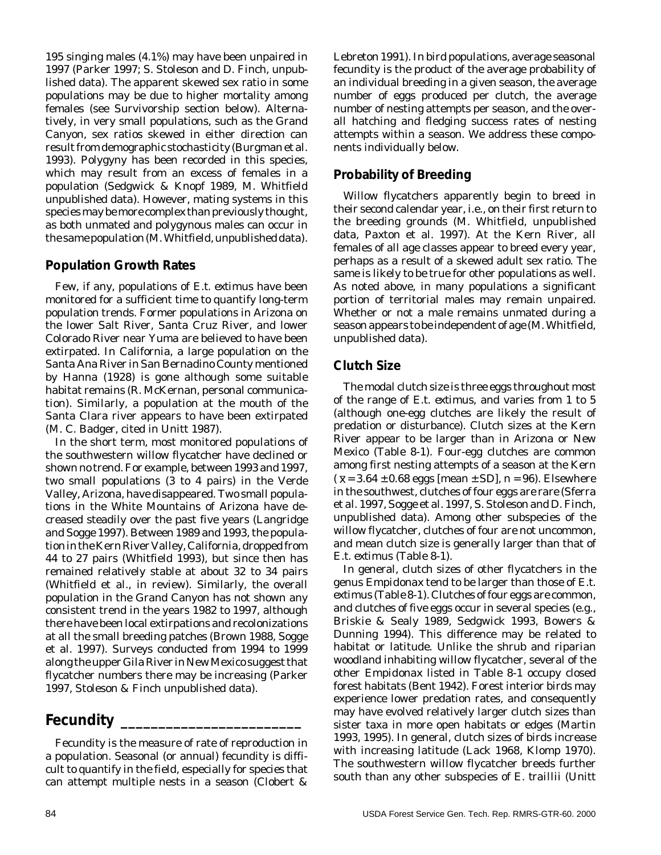195 singing males (4.1%) may have been unpaired in 1997 (Parker 1997; S. Stoleson and D. Finch, unpublished data). The apparent skewed sex ratio in some populations may be due to higher mortality among females (see Survivorship section below). Alternatively, in very small populations, such as the Grand Canyon, sex ratios skewed in either direction can result from demographic stochasticity (Burgman et al. 1993). Polygyny has been recorded in this species, which may result from an excess of females in a population (Sedgwick & Knopf 1989, M. Whitfield unpublished data). However, mating systems in this species may be more complex than previously thought, as both unmated and polygynous males can occur in the same population (M. Whitfield, unpublished data).

#### **Population Growth Rates**

Few, if any, populations of *E.t. extimus* have been monitored for a sufficient time to quantify long-term population trends. Former populations in Arizona on the lower Salt River, Santa Cruz River, and lower Colorado River near Yuma are believed to have been extirpated. In California, a large population on the Santa Ana River in San Bernadino County mentioned by Hanna (1928) is gone although some suitable habitat remains (R. McKernan, personal communication). Similarly, a population at the mouth of the Santa Clara river appears to have been extirpated (M. C. Badger, cited in Unitt 1987).

In the short term, most monitored populations of the southwestern willow flycatcher have declined or shown no trend. For example, between 1993 and 1997, two small populations (3 to 4 pairs) in the Verde Valley, Arizona, have disappeared. Two small populations in the White Mountains of Arizona have decreased steadily over the past five years (Langridge and Sogge 1997). Between 1989 and 1993, the population in the Kern River Valley, California, dropped from 44 to 27 pairs (Whitfield 1993), but since then has remained relatively stable at about 32 to 34 pairs (Whitfield et al., in review). Similarly, the overall population in the Grand Canyon has not shown any consistent trend in the years 1982 to 1997, although there have been local extirpations and recolonizations at all the small breeding patches (Brown 1988, Sogge et al. 1997). Surveys conducted from 1994 to 1999 along the upper Gila River in New Mexico suggest that flycatcher numbers there may be increasing (Parker 1997, Stoleson & Finch unpublished data).

# **Fecundity \_\_\_\_\_\_\_\_\_\_\_\_\_\_\_\_\_\_\_\_\_\_\_\_**

Fecundity is the measure of rate of reproduction in a population. Seasonal (or annual) fecundity is difficult to quantify in the field, especially for species that can attempt multiple nests in a season (Clobert &

Lebreton 1991). In bird populations, average seasonal fecundity is the product of the average probability of an individual breeding in a given season, the average number of eggs produced per clutch, the average number of nesting attempts per season, and the overall hatching and fledging success rates of nesting attempts within a season. We address these components individually below.

## **Probability of Breeding**

Willow flycatchers apparently begin to breed in their second calendar year, i.e., on their first return to the breeding grounds (M. Whitfield, unpublished data, Paxton et al. 1997). At the Kern River, all females of all age classes appear to breed every year, perhaps as a result of a skewed adult sex ratio. The same is likely to be true for other populations as well. As noted above, in many populations a significant portion of territorial males may remain unpaired. Whether or not a male remains unmated during a season appears to be independent of age (M. Whitfield, unpublished data).

## **Clutch Size**

The modal clutch size is three eggs throughout most of the range of *E.t. extimus*, and varies from 1 to 5 (although one-egg clutches are likely the result of predation or disturbance). Clutch sizes at the Kern River appear to be larger than in Arizona or New Mexico (Table 8-1). Four-egg clutches are common among first nesting attempts of a season at the Kern  $({\bar{x}} = 3.64 \pm 0.68$  eggs [mean  $\pm$  SD], *n* = 96). Elsewhere in the southwest, clutches of four eggs are rare (Sferra et al. 1997, Sogge et al. 1997, S. Stoleson and D. Finch, unpublished data). Among other subspecies of the willow flycatcher, clutches of four are not uncommon, and mean clutch size is generally larger than that of *E.t. extimus* (Table 8-1)*.*

In general, clutch sizes of other flycatchers in the genus *Empidonax* tend to be larger than those of *E.t. extimus* (Table 8-1). Clutches of four eggs are common, and clutches of five eggs occur in several species (e.g., Briskie & Sealy 1989, Sedgwick 1993, Bowers & Dunning 1994). This difference may be related to habitat or latitude. Unlike the shrub and riparian woodland inhabiting willow flycatcher, several of the other *Empidonax* listed in Table 8-1 occupy closed forest habitats (Bent 1942). Forest interior birds may experience lower predation rates, and consequently may have evolved relatively larger clutch sizes than sister taxa in more open habitats or edges (Martin 1993, 1995). In general, clutch sizes of birds increase with increasing latitude (Lack 1968, Klomp 1970). The southwestern willow flycatcher breeds further south than any other subspecies of *E. traillii* (Unitt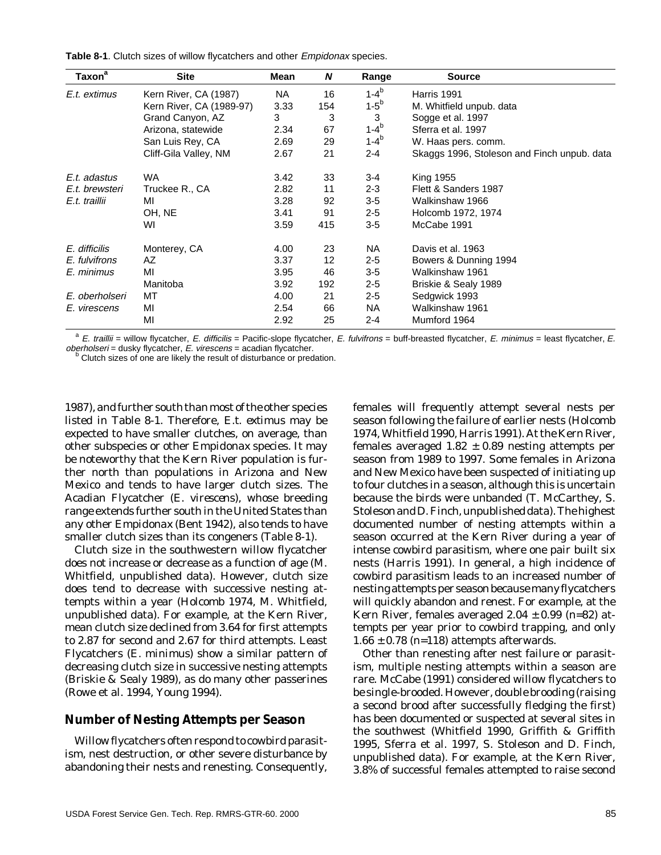**Table 8-1**. Clutch sizes of willow flycatchers and other Empidonax species.

| Taxon <sup>a</sup> | <b>Site</b>              | Mean | N   | Range       | <b>Source</b>                               |
|--------------------|--------------------------|------|-----|-------------|---------------------------------------------|
| E.t. extimus       | Kern River, CA (1987)    | NA.  | 16  | $1 - 4^{b}$ | Harris 1991                                 |
|                    | Kern River, CA (1989-97) | 3.33 | 154 | $1-5^b$     | M. Whitfield unpub. data                    |
|                    | Grand Canyon, AZ         | 3    | 3   | 3           | Sogge et al. 1997                           |
|                    | Arizona, statewide       | 2.34 | 67  | $1 - 4^{b}$ | Sferra et al. 1997                          |
|                    | San Luis Rey, CA         | 2.69 | 29  | $1 - 4^{b}$ | W. Haas pers. comm.                         |
|                    | Cliff-Gila Valley, NM    | 2.67 | 21  | $2 - 4$     | Skaggs 1996, Stoleson and Finch unpub. data |
| E.t. adastus       | WA                       | 3.42 | 33  | 3-4         | <b>King 1955</b>                            |
| E.t. brewsteri     | Truckee R., CA           | 2.82 | 11  | $2 - 3$     | Flett & Sanders 1987                        |
| E.t. traillii      | MI                       | 3.28 | 92  | $3-5$       | Walkinshaw 1966                             |
|                    | OH, NE                   | 3.41 | 91  | $2 - 5$     | Holcomb 1972, 1974                          |
|                    | WI                       | 3.59 | 415 | $3-5$       | McCabe 1991                                 |
| E. difficilis      | Monterey, CA             | 4.00 | 23  | <b>NA</b>   | Davis et al. 1963                           |
| E. fulvifrons      | AZ                       | 3.37 | 12  | $2 - 5$     | Bowers & Dunning 1994                       |
| E. minimus         | MI                       | 3.95 | 46  | $3-5$       | Walkinshaw 1961                             |
|                    | Manitoba                 | 3.92 | 192 | $2 - 5$     | Briskie & Sealy 1989                        |
| E. oberholseri     | МT                       | 4.00 | 21  | $2 - 5$     | Sedgwick 1993                               |
| E. virescens       | ΜI                       | 2.54 | 66  | <b>NA</b>   | Walkinshaw 1961                             |
|                    | MI                       | 2.92 | 25  | $2 - 4$     | Mumford 1964                                |

 $^a$  E. traillii = willow flycatcher, E. difficilis = Pacific-slope flycatcher, E. fulvifrons = buff-breasted flycatcher, E. minimus = least flycatcher, E.  $oberholseri = \text{dusky flycatcher}, E. virescens = \text{acadian flycatcher}.$ 

Clutch sizes of one are likely the result of disturbance or predation.

1987), and further south than most of the other species listed in Table 8-1. Therefore, *E.t. extimus* may be expected to have smaller clutches, on average, than other subspecies or other *Empidonax* species. It may be noteworthy that the Kern River population is further north than populations in Arizona and New Mexico and tends to have larger clutch sizes. The Acadian Flycatcher (*E. virescens*), whose breeding range extends further south in the United States than any other *Empidonax* (Bent 1942), also tends to have smaller clutch sizes than its congeners (Table 8-1).

Clutch size in the southwestern willow flycatcher does not increase or decrease as a function of age (M. Whitfield, unpublished data). However, clutch size does tend to decrease with successive nesting attempts within a year (Holcomb 1974, M. Whitfield, unpublished data). For example, at the Kern River, mean clutch size declined from 3.64 for first attempts to 2.87 for second and 2.67 for third attempts. Least Flycatchers (*E. minimus*) show a similar pattern of decreasing clutch size in successive nesting attempts (Briskie & Sealy 1989), as do many other passerines (Rowe et al. 1994, Young 1994).

#### **Number of Nesting Attempts per Season**

Willow flycatchers often respond to cowbird parasitism, nest destruction, or other severe disturbance by abandoning their nests and renesting. Consequently, females will frequently attempt several nests per season following the failure of earlier nests (Holcomb 1974, Whitfield 1990, Harris 1991). At the Kern River, females averaged  $1.82 \pm 0.89$  nesting attempts per season from 1989 to 1997. Some females in Arizona and New Mexico have been suspected of initiating up to four clutches in a season, although this is uncertain because the birds were unbanded (T. McCarthey, S. Stoleson and D. Finch, unpublished data). The highest documented number of nesting attempts within a season occurred at the Kern River during a year of intense cowbird parasitism, where one pair built six nests (Harris 1991). In general, a high incidence of cowbird parasitism leads to an increased number of nesting attempts per season because many flycatchers will quickly abandon and renest. For example, at the Kern River, females averaged 2.04 ± 0.99 (*n*=82) attempts per year prior to cowbird trapping, and only 1.66 ± 0.78 (*n*=118) attempts afterwards.

Other than renesting after nest failure or parasitism, multiple nesting attempts within a season are rare. McCabe (1991) considered willow flycatchers to be single-brooded. However, double brooding (raising a second brood after successfully fledging the first) has been documented or suspected at several sites in the southwest (Whitfield 1990, Griffith & Griffith 1995, Sferra et al. 1997, S. Stoleson and D. Finch, unpublished data). For example, at the Kern River, 3.8% of successful females attempted to raise second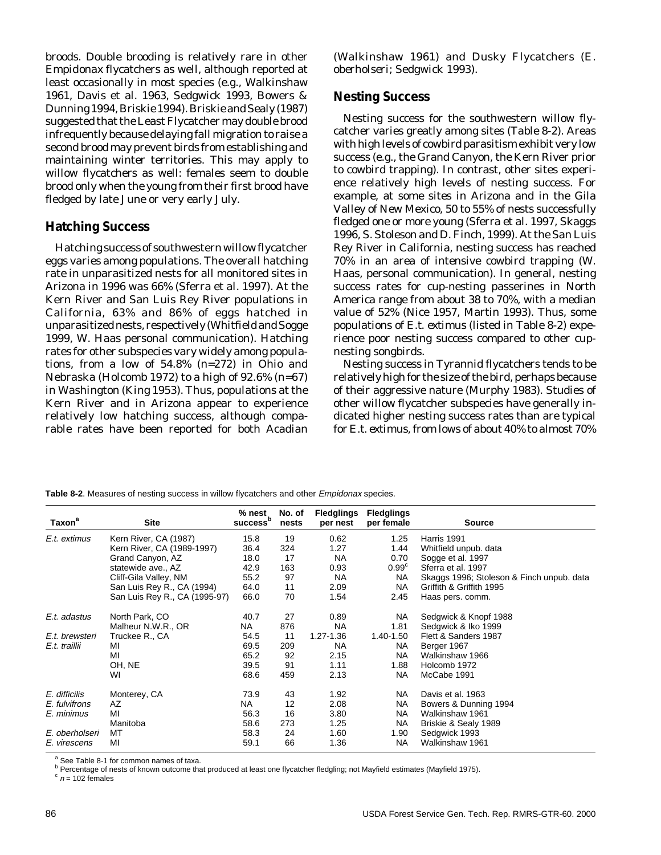broods. Double brooding is relatively rare in other *Empidonax* flycatchers as well, although reported at least occasionally in most species (e.g., Walkinshaw 1961, Davis et al. 1963, Sedgwick 1993, Bowers & Dunning 1994, Briskie 1994). Briskie and Sealy (1987) suggested that the Least Flycatcher may double brood infrequently because delaying fall migration to raise a second brood may prevent birds from establishing and maintaining winter territories. This may apply to willow flycatchers as well: females seem to double brood only when the young from their first brood have fledged by late June or very early July.

#### **Hatching Success**

Hatching success of southwestern willow flycatcher eggs varies among populations. The overall hatching rate in unparasitized nests for all monitored sites in Arizona in 1996 was 66% (Sferra et al. 1997). At the Kern River and San Luis Rey River populations in California, 63% and 86% of eggs hatched in unparasitized nests, respectively (Whitfield and Sogge 1999, W. Haas personal communication). Hatching rates for other subspecies vary widely among populations, from a low of 54.8% (*n*=272) in Ohio and Nebraska (Holcomb 1972) to a high of 92.6% (*n*=67) in Washington (King 1953). Thus, populations at the Kern River and in Arizona appear to experience relatively low hatching success, although comparable rates have been reported for both Acadian (Walkinshaw 1961) and Dusky Flycatchers (*E. oberholseri*; Sedgwick 1993).

#### **Nesting Success**

Nesting success for the southwestern willow flycatcher varies greatly among sites (Table 8-2). Areas with high levels of cowbird parasitism exhibit very low success (e.g., the Grand Canyon, the Kern River prior to cowbird trapping). In contrast, other sites experience relatively high levels of nesting success. For example, at some sites in Arizona and in the Gila Valley of New Mexico, 50 to 55% of nests successfully fledged one or more young (Sferra et al. 1997, Skaggs 1996, S. Stoleson and D. Finch, 1999). At the San Luis Rey River in California, nesting success has reached 70% in an area of intensive cowbird trapping (W. Haas, personal communication). In general, nesting success rates for cup-nesting passerines in North America range from about 38 to 70%, with a median value of 52% (Nice 1957, Martin 1993). Thus, some populations of *E.t. extimus* (listed in Table 8-2) experience poor nesting success compared to other cupnesting songbirds.

Nesting success in Tyrannid flycatchers tends to be relatively high for the size of the bird, perhaps because of their aggressive nature (Murphy 1983). Studies of other willow flycatcher subspecies have generally indicated higher nesting success rates than are typical for *E.t. extimus*, from lows of about 40% to almost 70%

| Taxon <sup>a</sup> | <b>Site</b>                   | % nest<br>success <sup>b</sup> | No. of<br>nests | <b>Fledglings</b><br>per nest | <b>Fledglings</b><br>per female | <b>Source</b>                             |
|--------------------|-------------------------------|--------------------------------|-----------------|-------------------------------|---------------------------------|-------------------------------------------|
| E.t. extimus       | Kern River, CA (1987)         | 15.8                           | 19              | 0.62                          | 1.25                            | Harris 1991                               |
|                    | Kern River, CA (1989-1997)    | 36.4                           | 324             | 1.27                          | 1.44                            | Whitfield unpub. data                     |
|                    | Grand Canyon, AZ              | 18.0                           | 17              | NA.                           | 0.70                            | Sogge et al. 1997                         |
|                    | statewide ave., AZ            | 42.9                           | 163             | 0.93                          | $0.99^{\circ}$                  | Sferra et al. 1997                        |
|                    | Cliff-Gila Valley, NM         | 55.2                           | 97              | <b>NA</b>                     | NA                              | Skaggs 1996; Stoleson & Finch unpub. data |
|                    | San Luis Rey R., CA (1994)    | 64.0                           | 11              | 2.09                          | NA.                             | Griffith & Griffith 1995                  |
|                    | San Luis Rey R., CA (1995-97) | 66.0                           | 70              | 1.54                          | 2.45                            | Haas pers. comm.                          |
| E.t. adastus       | North Park, CO                | 40.7                           | 27              | 0.89                          | NA.                             | Sedgwick & Knopf 1988                     |
|                    | Malheur N.W.R., OR            | NA                             | 876             | NA.                           | 1.81                            | Sedgwick & Iko 1999                       |
| E.t. brewsteri     | Truckee R., CA                | 54.5                           | 11              | 1.27-1.36                     | 1.40-1.50                       | Flett & Sanders 1987                      |
| E.t. traillii      | MI                            | 69.5                           | 209             | <b>NA</b>                     | NA.                             | Berger 1967                               |
|                    | MI                            | 65.2                           | 92              | 2.15                          | <b>NA</b>                       | Walkinshaw 1966                           |
|                    | OH, NE                        | 39.5                           | 91              | 1.11                          | 1.88                            | Holcomb 1972                              |
|                    | WI                            | 68.6                           | 459             | 2.13                          | NA                              | McCabe 1991                               |
| E. difficilis      | Monterey, CA                  | 73.9                           | 43              | 1.92                          | <b>NA</b>                       | Davis et al. 1963                         |
| E. fulvifrons      | AZ                            | NA.                            | 12              | 2.08                          | NA                              | Bowers & Dunning 1994                     |
| E. minimus         | MI                            | 56.3                           | 16              | 3.80                          | NA.                             | Walkinshaw 1961                           |
|                    | Manitoba                      | 58.6                           | 273             | 1.25                          | NA.                             | Briskie & Sealy 1989                      |
| E. oberholseri     | MT                            | 58.3                           | 24              | 1.60                          | 1.90                            | Sedgwick 1993                             |
| E. virescens       | MI                            | 59.1                           | 66              | 1.36                          | <b>NA</b>                       | Walkinshaw 1961                           |

**Table 8-2**. Measures of nesting success in willow flycatchers and other Empidonax species.

<sup>a</sup> See Table 8-1 for common names of taxa.

<sup>b</sup> Percentage of nests of known outcome that produced at least one flycatcher fledgling; not Mayfield estimates (Mayfield 1975).

 $c$  n = 102 females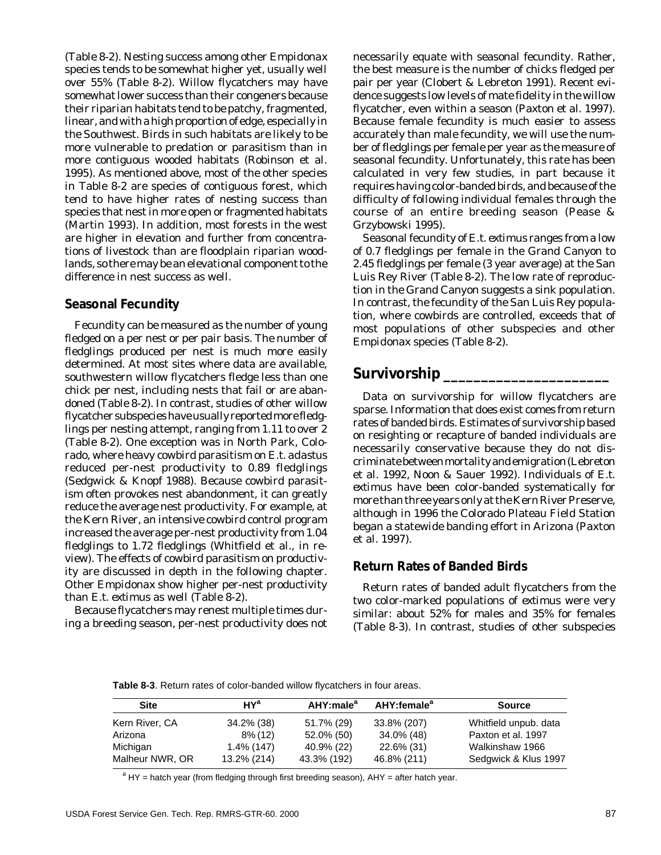(Table 8-2). Nesting success among other *Empidonax* species tends to be somewhat higher yet, usually well over 55% (Table 8-2). Willow flycatchers may have somewhat lower success than their congeners because their riparian habitats tend to be patchy, fragmented, linear, and with a high proportion of edge, especially in the Southwest. Birds in such habitats are likely to be more vulnerable to predation or parasitism than in more contiguous wooded habitats (Robinson et al. 1995). As mentioned above, most of the other species in Table 8-2 are species of contiguous forest, which tend to have higher rates of nesting success than species that nest in more open or fragmented habitats (Martin 1993). In addition, most forests in the west are higher in elevation and further from concentrations of livestock than are floodplain riparian woodlands, so there may be an elevational component to the difference in nest success as well.

#### **Seasonal Fecundity**

Fecundity can be measured as the number of young fledged on a per nest or per pair basis. The number of fledglings produced per nest is much more easily determined. At most sites where data are available, southwestern willow flycatchers fledge less than one chick per nest, including nests that fail or are abandoned (Table 8-2). In contrast, studies of other willow flycatcher subspecies have usually reported more fledglings per nesting attempt, ranging from 1.11 to over 2 (Table 8-2). One exception was in North Park, Colorado, where heavy cowbird parasitism on *E.t. adastus* reduced per-nest productivity to 0.89 fledglings (Sedgwick & Knopf 1988). Because cowbird parasitism often provokes nest abandonment, it can greatly reduce the average nest productivity. For example, at the Kern River, an intensive cowbird control program increased the average per-nest productivity from 1.04 fledglings to 1.72 fledglings (Whitfield et al., in review). The effects of cowbird parasitism on productivity are discussed in depth in the following chapter. Other *Empidonax* show higher per-nest productivity than *E.t. extimus* as well (Table 8-2).

Because flycatchers may renest multiple times during a breeding season, per-nest productivity does not necessarily equate with seasonal fecundity. Rather, the best measure is the number of chicks fledged per pair per year (Clobert & Lebreton 1991). Recent evidence suggests low levels of mate fidelity in the willow flycatcher, even within a season (Paxton et al. 1997). Because female fecundity is much easier to assess accurately than male fecundity, we will use the number of fledglings per female per year as the measure of seasonal fecundity. Unfortunately, this rate has been calculated in very few studies, in part because it requires having color-banded birds, and because of the difficulty of following individual females through the course of an entire breeding season (Pease & Grzybowski 1995).

Seasonal fecundity of *E.t. extimus* ranges from a low of 0.7 fledglings per female in the Grand Canyon to 2.45 fledglings per female (3 year average) at the San Luis Rey River (Table 8-2). The low rate of reproduction in the Grand Canyon suggests a sink population. In contrast, the fecundity of the San Luis Rey population, where cowbirds are controlled, exceeds that of most populations of other subspecies and other *Empidonax* species (Table 8-2).

## **Survivorship \_\_\_\_\_\_\_\_\_\_\_\_\_\_\_\_\_\_\_\_\_\_**

Data on survivorship for willow flycatchers are sparse. Information that does exist comes from return rates of banded birds. Estimates of survivorship based on resighting or recapture of banded individuals are necessarily conservative because they do not discriminate between mortality and emigration (Lebreton et al. 1992, Noon & Sauer 1992). Individuals of *E.t. extimus* have been color-banded systematically for more than three years only at the Kern River Preserve, although in 1996 the Colorado Plateau Field Station began a statewide banding effort in Arizona (Paxton et al. 1997).

#### **Return Rates of Banded Birds**

Return rates of banded adult flycatchers from the two color-marked populations of *extimus* were very similar: about 52% for males and 35% for females (Table 8-3). In contrast, studies of other subspecies

**Table 8-3**. Return rates of color-banded willow flycatchers in four areas.

| Site            | $HY^a$        | AHY:male <sup>a</sup> | AHY:female <sup>a</sup> | <b>Source</b>         |
|-----------------|---------------|-----------------------|-------------------------|-----------------------|
| Kern River, CA  | 34.2% (38)    | 51.7% (29)            | 33.8% (207)             | Whitfield unpub. data |
| Arizona         | $8\%$ (12)    | 52.0% (50)            | 34.0% (48)              | Paxton et al. 1997    |
| Michigan        | $1.4\%$ (147) | 40.9% (22)            | 22.6% (31)              | Walkinshaw 1966       |
| Malheur NWR, OR | 13.2% (214)   | 43.3% (192)           | 46.8% (211)             | Sedgwick & Klus 1997  |

<sup>a</sup> HY = hatch year (from fledging through first breeding season), AHY = after hatch year.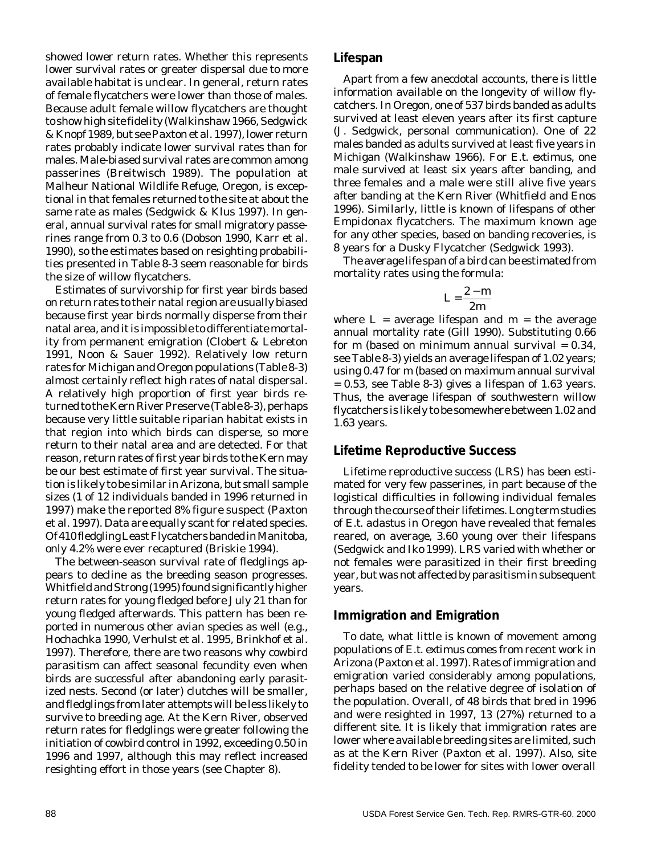showed lower return rates. Whether this represents lower survival rates or greater dispersal due to more available habitat is unclear. In general, return rates of female flycatchers were lower than those of males. Because adult female willow flycatchers are thought to show high site fidelity (Walkinshaw 1966, Sedgwick & Knopf 1989, but see Paxton et al. 1997), lower return rates probably indicate lower survival rates than for males. Male-biased survival rates are common among passerines (Breitwisch 1989). The population at Malheur National Wildlife Refuge, Oregon, is exceptional in that females returned to the site at about the same rate as males (Sedgwick & Klus 1997). In general, annual survival rates for small migratory passerines range from 0.3 to 0.6 (Dobson 1990, Karr et al. 1990), so the estimates based on resighting probabilities presented in Table 8-3 seem reasonable for birds the size of willow flycatchers.

Estimates of survivorship for first year birds based on return rates to their natal region are usually biased because first year birds normally disperse from their natal area, and it is impossible to differentiate mortality from permanent emigration (Clobert & Lebreton 1991, Noon & Sauer 1992). Relatively low return rates for Michigan and Oregon populations (Table 8-3) almost certainly reflect high rates of natal dispersal. A relatively high proportion of first year birds returned to the Kern River Preserve (Table 8-3), perhaps because very little suitable riparian habitat exists in that region into which birds can disperse, so more return to their natal area and are detected. For that reason, return rates of first year birds to the Kern may be our best estimate of first year survival. The situation is likely to be similar in Arizona, but small sample sizes (1 of 12 individuals banded in 1996 returned in 1997) make the reported 8% figure suspect (Paxton et al. 1997). Data are equally scant for related species. Of 410 fledgling Least Flycatchers banded in Manitoba, only 4.2% were ever recaptured (Briskie 1994).

The between-season survival rate of fledglings appears to decline as the breeding season progresses. Whitfield and Strong (1995) found significantly higher return rates for young fledged before July 21 than for young fledged afterwards. This pattern has been reported in numerous other avian species as well (e.g., Hochachka 1990, Verhulst et al. 1995, Brinkhof et al. 1997). Therefore, there are two reasons why cowbird parasitism can affect seasonal fecundity even when birds are successful after abandoning early parasitized nests. Second (or later) clutches will be smaller, and fledglings from later attempts will be less likely to survive to breeding age. At the Kern River, observed return rates for fledglings were greater following the initiation of cowbird control in 1992, exceeding 0.50 in 1996 and 1997, although this may reflect increased resighting effort in those years (see Chapter 8).

#### **Lifespan**

Apart from a few anecdotal accounts, there is little information available on the longevity of willow flycatchers. In Oregon, one of 537 birds banded as adults survived at least eleven years after its first capture (J. Sedgwick, personal communication). One of 22 males banded as adults survived at least five years in Michigan (Walkinshaw 1966). For *E.t. extimus*, one male survived at least six years after banding, and three females and a male were still alive five years after banding at the Kern River (Whitfield and Enos 1996). Similarly, little is known of lifespans of other *Empidonax* flycatchers. The maximum known age for any other species, based on banding recoveries, is 8 years for a Dusky Flycatcher (Sedgwick 1993).

The average life span of a bird can be estimated from mortality rates using the formula:

$$
L=\frac{2-m}{2m}
$$

where  $L =$  average lifespan and  $m =$  the average annual mortality rate (Gill 1990). Substituting 0.66 for  $m$  (based on minimum annual survival =  $0.34$ , see Table 8-3) yields an average lifespan of 1.02 years; using 0.47 for *m* (based on maximum annual survival  $= 0.53$ , see Table 8-3) gives a lifespan of 1.63 years. Thus, the average lifespan of southwestern willow flycatchers is likely to be somewhere between 1.02 and 1.63 years.

#### **Lifetime Reproductive Success**

Lifetime reproductive success (LRS) has been estimated for very few passerines, in part because of the logistical difficulties in following individual females through the course of their lifetimes. Long term studies of *E.t. adastus* in Oregon have revealed that females reared, on average, 3.60 young over their lifespans (Sedgwick and Iko 1999). LRS varied with whether or not females were parasitized in their first breeding year, but was not affected by parasitism in subsequent years.

#### **Immigration and Emigration**

To date, what little is known of movement among populations of *E.t. extimus* comes from recent work in Arizona (Paxton et al. 1997). Rates of immigration and emigration varied considerably among populations, perhaps based on the relative degree of isolation of the population. Overall, of 48 birds that bred in 1996 and were resighted in 1997, 13 (27%) returned to a different site. It is likely that immigration rates are lower where available breeding sites are limited, such as at the Kern River (Paxton et al. 1997). Also, site fidelity tended to be lower for sites with lower overall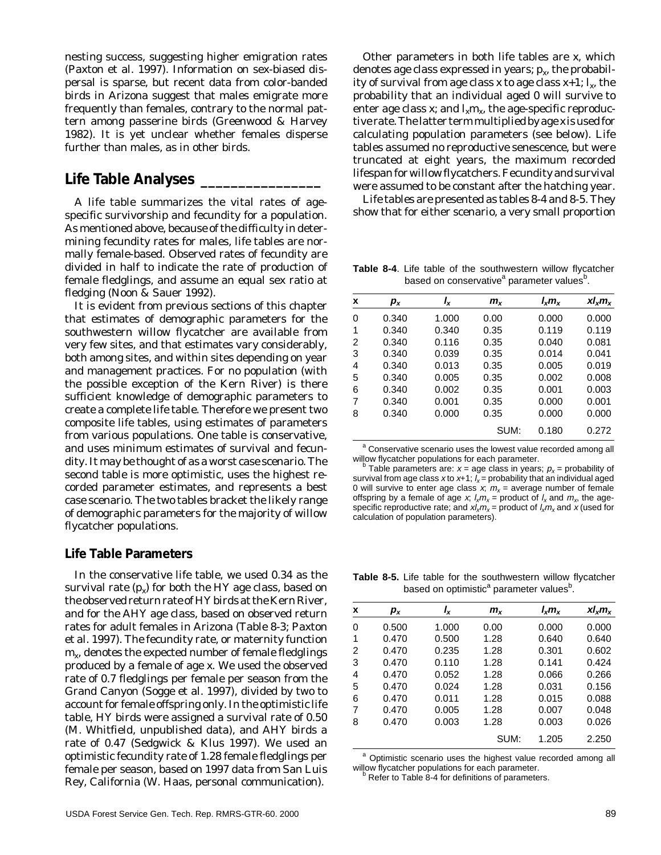nesting success, suggesting higher emigration rates (Paxton et al. 1997). Information on sex-biased dispersal is sparse, but recent data from color-banded birds in Arizona suggest that males emigrate more frequently than females, contrary to the normal pattern among passerine birds (Greenwood & Harvey 1982). It is yet unclear whether females disperse further than males, as in other birds.

## **Life Table Analyses \_\_\_\_\_\_\_\_\_\_\_\_\_\_\_\_**

A life table summarizes the vital rates of agespecific survivorship and fecundity for a population. As mentioned above, because of the difficulty in determining fecundity rates for males, life tables are normally female-based. Observed rates of fecundity are divided in half to indicate the rate of production of female fledglings, and assume an equal sex ratio at fledging (Noon & Sauer 1992).

It is evident from previous sections of this chapter that estimates of demographic parameters for the southwestern willow flycatcher are available from very few sites, and that estimates vary considerably, both among sites, and within sites depending on year and management practices. For no population (with the possible exception of the Kern River) is there sufficient knowledge of demographic parameters to create a complete life table. Therefore we present two composite life tables, using estimates of parameters from various populations. One table is conservative, and uses minimum estimates of survival and fecundity. It may be thought of as a worst case scenario. The second table is more optimistic, uses the highest recorded parameter estimates, and represents a best case scenario. The two tables bracket the likely range of demographic parameters for the majority of willow flycatcher populations.

#### **Life Table Parameters**

In the conservative life table, we used 0.34 as the survival rate  $(p_x)$  for both the HY age class, based on the observed return rate of HY birds at the Kern River, and for the AHY age class, based on observed return rates for adult females in Arizona (Table 8-3; Paxton et al. 1997). The fecundity rate, or maternity function *mx*, denotes the expected number of female fledglings produced by a female of age *x.* We used the observed rate of 0.7 fledglings per female per season from the Grand Canyon (Sogge et al. 1997), divided by two to account for female offspring only. In the optimistic life table, HY birds were assigned a survival rate of 0.50 (M. Whitfield, unpublished data), and AHY birds a rate of 0.47 (Sedgwick & Klus 1997). We used an optimistic fecundity rate of 1.28 female fledglings per female per season, based on 1997 data from San Luis Rey, California (W. Haas, personal communication).

Other parameters in both life tables are *x*, which denotes age class expressed in years;  $p<sub>x</sub>$ , the probability of survival from age class *x* to age class  $x+1$ ;  $l_x$ , the probability that an individual aged 0 will survive to enter age class *x*; and  $l_x m_y$  the age-specific reproductive rate. The latter term multiplied by age *x* is used for calculating population parameters (see below). Life tables assumed no reproductive senescence, but were truncated at eight years, the maximum recorded lifespan for willow flycatchers. Fecundity and survival were assumed to be constant after the hatching year.

Life tables are presented as tables 8-4 and 8-5. They show that for either scenario, a very small proportion

**Table 8-4**. Life table of the southwestern willow flycatcher based on conservative<sup>a</sup> parameter values<sup>b</sup>.

| X | $p_{x}$ | I <sub>x</sub> | $m_{x}$ | $l_x m_x$ | $x l_{x} m_{x}$ |
|---|---------|----------------|---------|-----------|-----------------|
| 0 | 0.340   | 1.000          | 0.00    | 0.000     | 0.000           |
| 1 | 0.340   | 0.340          | 0.35    | 0.119     | 0.119           |
| 2 | 0.340   | 0.116          | 0.35    | 0.040     | 0.081           |
| 3 | 0.340   | 0.039          | 0.35    | 0.014     | 0.041           |
| 4 | 0.340   | 0.013          | 0.35    | 0.005     | 0.019           |
| 5 | 0.340   | 0.005          | 0.35    | 0.002     | 0.008           |
| 6 | 0.340   | 0.002          | 0.35    | 0.001     | 0.003           |
| 7 | 0.340   | 0.001          | 0.35    | 0.000     | 0.001           |
| 8 | 0.340   | 0.000          | 0.35    | 0.000     | 0.000           |
|   |         |                | SUM:    | 0.180     | 0.272           |

<sup>a</sup> Conservative scenario uses the lowest value recorded among all willow flycatcher populations for each parameter.

Table parameters are:  $x = a$ ge class in years;  $p_x =$  probability of survival from age class x to x+1;  $l_x$  = probability that an individual aged 0 will survive to enter age class x;  $m_x$  = average number of female offspring by a female of age x;  $l_x m_x$  = product of  $l_x$  and  $m_x$ , the agespecific reproductive rate; and  $x l_x m_x$  = product of  $l_x m_x$  and x (used for calculation of population parameters).

**Table 8-5.** Life table for the southwestern willow flycatcher based on optimistic<sup>a</sup> parameter values<sup>b</sup>.

| X | $p_{x}$ | Ιx    | $m_{x}$ | $I_x m_x$ | $x l_{x} m_{x}$ |
|---|---------|-------|---------|-----------|-----------------|
| 0 | 0.500   | 1.000 | 0.00    | 0.000     | 0.000           |
| 1 | 0.470   | 0.500 | 1.28    | 0.640     | 0.640           |
| 2 | 0.470   | 0.235 | 1.28    | 0.301     | 0.602           |
| 3 | 0.470   | 0.110 | 1.28    | 0.141     | 0.424           |
| 4 | 0.470   | 0.052 | 1.28    | 0.066     | 0.266           |
| 5 | 0.470   | 0.024 | 1.28    | 0.031     | 0.156           |
| 6 | 0.470   | 0.011 | 1.28    | 0.015     | 0.088           |
| 7 | 0.470   | 0.005 | 1.28    | 0.007     | 0.048           |
| 8 | 0.470   | 0.003 | 1.28    | 0.003     | 0.026           |
|   |         |       | SUM:    | 1.205     | 2.250           |

<sup>a</sup> Optimistic scenario uses the highest value recorded among all willow flycatcher populations for each parameter.

<sup>b</sup> Refer to Table 8-4 for definitions of parameters.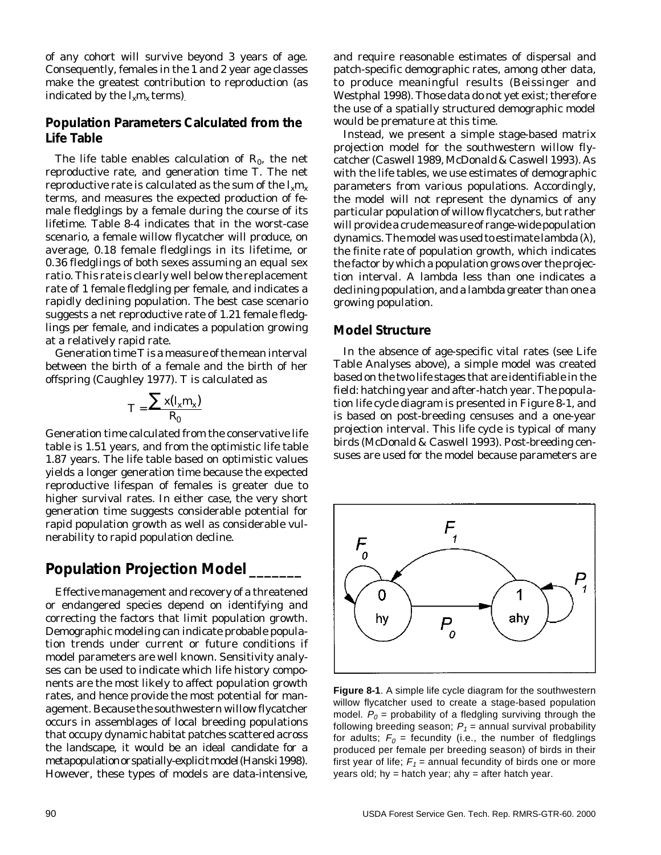of any cohort will survive beyond 3 years of age. Consequently, females in the 1 and 2 year age classes make the greatest contribution to reproduction (as indicated by the  $l_x m_x$  terms).

#### **Population Parameters Calculated from the Life Table**

The life table enables calculation of  $R_0$ , the net reproductive rate, and generation time *T*. The net reproductive rate is calculated as the sum of the  $l_{\rm v}m_{\rm v}$ terms, and measures the expected production of female fledglings by a female during the course of its lifetime. Table 8-4 indicates that in the worst-case scenario, a female willow flycatcher will produce, on average, 0.18 female fledglings in its lifetime, or 0.36 fledglings of both sexes assuming an equal sex ratio. This rate is clearly well below the replacement rate of 1 female fledgling per female, and indicates a rapidly declining population. The best case scenario suggests a net reproductive rate of 1.21 female fledglings per female, and indicates a population growing at a relatively rapid rate.

Generation time *T* is a measure of the mean interval between the birth of a female and the birth of her offspring (Caughley 1977). *T* is calculated as

$$
T = \frac{\sum x (I_x m_x)}{R_0}
$$

Generation time calculated from the conservative life table is 1.51 years, and from the optimistic life table 1.87 years. The life table based on optimistic values yields a longer generation time because the expected reproductive lifespan of females is greater due to higher survival rates. In either case, the very short generation time suggests considerable potential for rapid population growth as well as considerable vulnerability to rapid population decline.

## **Population Projection Model \_\_\_\_\_\_\_**

Effective management and recovery of a threatened or endangered species depend on identifying and correcting the factors that limit population growth. Demographic modeling can indicate probable population trends under current or future conditions if model parameters are well known. Sensitivity analyses can be used to indicate which life history components are the most likely to affect population growth rates, and hence provide the most potential for management. Because the southwestern willow flycatcher occurs in assemblages of local breeding populations that occupy dynamic habitat patches scattered across the landscape, it would be an ideal candidate for a metapopulation or spatially-explicit model (Hanski 1998). However, these types of models are data-intensive,

and require reasonable estimates of dispersal and patch-specific demographic rates, among other data, to produce meaningful results (Beissinger and Westphal 1998). Those data do not yet exist; therefore the use of a spatially structured demographic model would be premature at this time.

Instead, we present a simple stage-based matrix projection model for the southwestern willow flycatcher (Caswell 1989, McDonald & Caswell 1993). As with the life tables, we use estimates of demographic parameters from various populations. Accordingly, the model will not represent the dynamics of any particular population of willow flycatchers, but rather will provide a crude measure of range-wide population dynamics. The model was used to estimate lambda  $(\lambda)$ , the finite rate of population growth, which indicates the factor by which a population grows over the projection interval. A lambda less than one indicates a declining population, and a lambda greater than one a growing population.

#### **Model Structure**

In the absence of age-specific vital rates (see Life Table Analyses above), a simple model was created based on the two life stages that are identifiable in the field: hatching year and after-hatch year. The population life cycle diagram is presented in Figure 8-1, and is based on post-breeding censuses and a one-year projection interval. This life cycle is typical of many birds (McDonald & Caswell 1993). Post-breeding censuses are used for the model because parameters are



**Figure 8-1**. A simple life cycle diagram for the southwestern willow flycatcher used to create a stage-based population model.  $P_0$  = probability of a fledgling surviving through the following breeding season;  $P_1$  = annual survival probability for adults;  $F_0$  = fecundity (i.e., the number of fledglings produced per female per breeding season) of birds in their first year of life;  $F_1$  = annual fecundity of birds one or more years old; hy = hatch year; ahy = after hatch year.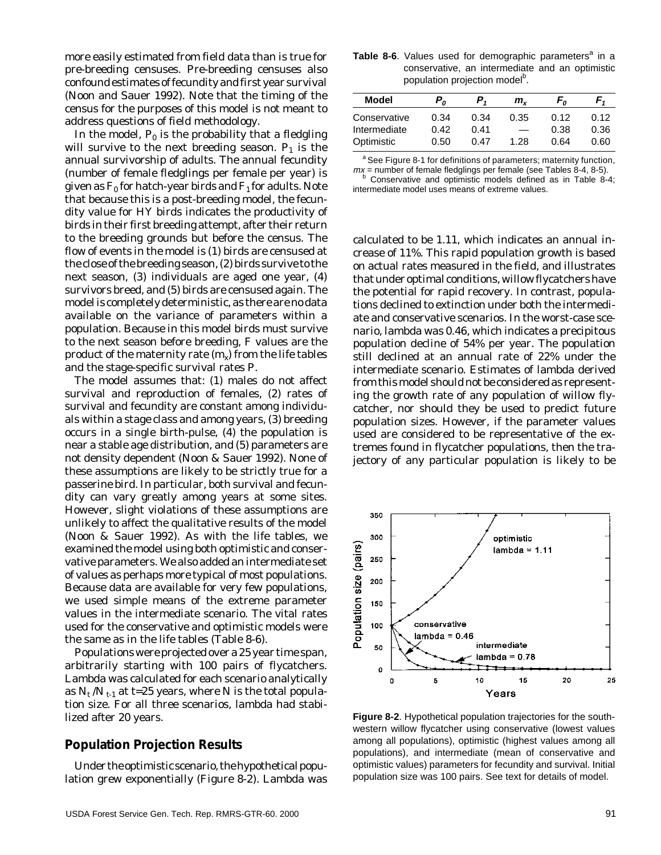more easily estimated from field data than is true for pre-breeding censuses. Pre-breeding censuses also confound estimates of fecundity and first year survival (Noon and Sauer 1992). Note that the timing of the census for the purposes of this model is not meant to address questions of field methodology.

In the model,  $P_{0}$  is the probability that a fledgling will survive to the next breeding season.  $P<sub>1</sub>$  is the annual survivorship of adults. The annual fecundity (number of female fledglings per female per year) is given as  $F_0$  for hatch-year birds and  $F_1$  for adults. Note that because this is a post-breeding model, the fecundity value for HY birds indicates the productivity of birds in their first breeding attempt, after their return to the breeding grounds but before the census. The flow of events in the model is (1) birds are censused at the close of the breeding season, (2) birds survive to the next season, (3) individuals are aged one year, (4) survivors breed, and (5) birds are censused again. The model is completely deterministic, as there are no data available on the variance of parameters within a population. Because in this model birds must survive to the next season before breeding, *F* values are the product of the maternity rate  $(m<sub>x</sub>)$  from the life tables and the stage-specific survival rates *P*.

The model assumes that: (1) males do not affect survival and reproduction of females, (2) rates of survival and fecundity are constant among individuals within a stage class and among years, (3) breeding occurs in a single birth-pulse, (4) the population is near a stable age distribution, and (5) parameters are not density dependent (Noon & Sauer 1992). None of these assumptions are likely to be strictly true for a passerine bird. In particular, both survival and fecundity can vary greatly among years at some sites. However, slight violations of these assumptions are unlikely to affect the qualitative results of the model (Noon & Sauer 1992). As with the life tables, we examined the model using both optimistic and conservative parameters. We also added an intermediate set of values as perhaps more typical of most populations. Because data are available for very few populations, we used simple means of the extreme parameter values in the intermediate scenario. The vital rates used for the conservative and optimistic models were the same as in the life tables (Table 8-6).

Populations were projected over a 25 year time span, arbitrarily starting with 100 pairs of flycatchers. Lambda was calculated for each scenario analytically as  $N_t/N_{t-1}$  at *t*=25 years, where N is the total population size. For all three scenarios, lambda had stabilized after 20 years.

#### **Population Projection Results**

Under the optimistic scenario, the hypothetical population grew exponentially (Figure 8-2). Lambda was

|  |  | Table 8-6. Values used for demographic parameters <sup>a</sup> in a |  |  |
|--|--|---------------------------------------------------------------------|--|--|
|  |  | conservative, an intermediate and an optimistic                     |  |  |
|  |  | population projection model <sup>b</sup> .                          |  |  |

| Model                        | $P_{\theta}$ |              | m.   | r,           |              |
|------------------------------|--------------|--------------|------|--------------|--------------|
| Conservative<br>Intermediate | 0.34<br>0.42 | 0.34<br>0.41 | 0.35 | 0.12<br>0.38 | 0.12<br>0.36 |
| Optimistic                   | 0.50         | 0.47         | 1.28 | 0.64         | 0.60         |

<sup>a</sup> See Figure 8-1 for definitions of parameters; maternity function,  $mx =$  number of female fledglings per female (see Tables 8-4, 8-5). Conservative and optimistic models defined as in Table 8-4;

intermediate model uses means of extreme values.

calculated to be 1.11, which indicates an annual increase of 11%. This rapid population growth is based on actual rates measured in the field, and illustrates that under optimal conditions, willow flycatchers have the potential for rapid recovery. In contrast, populations declined to extinction under both the intermediate and conservative scenarios. In the worst-case scenario, lambda was 0.46, which indicates a precipitous population decline of 54% per year. The population still declined at an annual rate of 22% under the intermediate scenario. Estimates of lambda derived from this model should not be considered as representing the growth rate of any population of willow flycatcher, nor should they be used to predict future population sizes. However, if the parameter values used are considered to be representative of the extremes found in flycatcher populations, then the trajectory of any particular population is likely to be



**Figure 8-2**. Hypothetical population trajectories for the southwestern willow flycatcher using conservative (lowest values among all populations), optimistic (highest values among all populations), and intermediate (mean of conservative and optimistic values) parameters for fecundity and survival. Initial population size was 100 pairs. See text for details of model.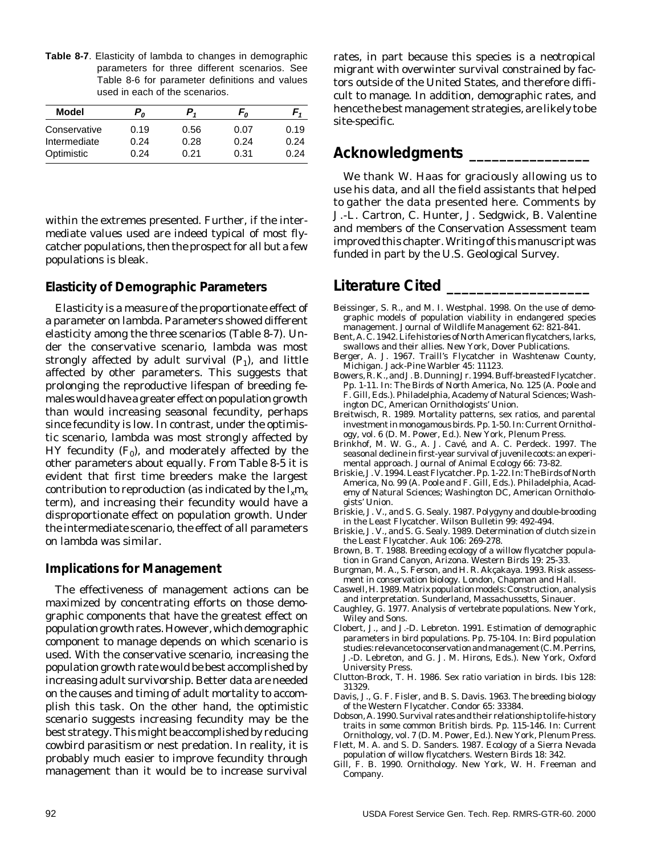**Table 8-7**. Elasticity of lambda to changes in demographic parameters for three different scenarios. See Table 8-6 for parameter definitions and values used in each of the scenarios.

| Model        | $P_{\alpha}$ | $P_{1}$ | F <sub>o</sub> |      |
|--------------|--------------|---------|----------------|------|
| Conservative | 0.19         | 0.56    | 0.07           | 0.19 |
| Intermediate | 0.24         | 0.28    | 0.24           | 0.24 |
| Optimistic   | 0.24         | 0.21    | 0.31           | 0.24 |

within the extremes presented. Further, if the intermediate values used are indeed typical of most flycatcher populations, then the prospect for all but a few populations is bleak.

#### **Elasticity of Demographic Parameters**

Elasticity is a measure of the proportionate effect of a parameter on lambda. Parameters showed different elasticity among the three scenarios (Table 8-7). Under the conservative scenario, lambda was most strongly affected by adult survival  $(P_1)$ , and little affected by other parameters. This suggests that prolonging the reproductive lifespan of breeding females would have a greater effect on population growth than would increasing seasonal fecundity, perhaps since fecundity is low. In contrast, under the optimistic scenario, lambda was most strongly affected by HY fecundity  $(F<sub>0</sub>)$ , and moderately affected by the other parameters about equally. From Table 8-5 it is evident that first time breeders make the largest contribution to reproduction (as indicated by the  $l_{\rm w}m_{\rm w}$ term), and increasing their fecundity would have a disproportionate effect on population growth. Under the intermediate scenario, the effect of all parameters on lambda was similar.

#### **Implications for Management**

The effectiveness of management actions can be maximized by concentrating efforts on those demographic components that have the greatest effect on population growth rates. However, which demographic component to manage depends on which scenario is used. With the conservative scenario, increasing the population growth rate would be best accomplished by increasing adult survivorship. Better data are needed on the causes and timing of adult mortality to accomplish this task. On the other hand, the optimistic scenario suggests increasing fecundity may be the best strategy. This might be accomplished by reducing cowbird parasitism or nest predation. In reality, it is probably much easier to improve fecundity through management than it would be to increase survival

rates, in part because this species is a neotropical migrant with overwinter survival constrained by factors outside of the United States, and therefore difficult to manage. In addition, demographic rates, and hence the best management strategies, are likely to be site-specific.

## **Acknowledgments \_\_\_\_\_\_\_\_\_\_\_\_\_\_\_\_**

We thank W. Haas for graciously allowing us to use his data, and all the field assistants that helped to gather the data presented here. Comments by J.-L. Cartron, C. Hunter, J. Sedgwick, B. Valentine and members of the Conservation Assessment team improved this chapter. Writing of this manuscript was funded in part by the U.S. Geological Survey.

### **Literature Cited \_\_\_\_\_\_\_\_\_\_\_\_\_\_\_\_\_\_\_**

- Beissinger, S. R., and M. I. Westphal. 1998. On the use of demographic models of population viability in endangered species management. Journal of Wildlife Management 62: 821-841.
- Bent, A. C. 1942. Life histories of North American flycatchers, larks, swallows and their allies. New York, Dover Publications.
- Berger, A. J. 1967. Traill's Flycatcher in Washtenaw County, Michigan. Jack-Pine Warbler 45: 11123.
- Bowers, R. K., and J. B. Dunning Jr. 1994. Buff-breasted Flycatcher. Pp. 1-11. In: The Birds of North America, No. 125 (A. Poole and F. Gill, Eds.). Philadelphia, Academy of Natural Sciences; Washington DC, American Ornithologists' Union.
- Breitwisch, R. 1989. Mortality patterns, sex ratios, and parental investment in monogamous birds. Pp. 1-50. In: Current Ornithology, vol. 6 (D. M. Power, Ed.). New York, Plenum Press.
- Brinkhof, M. W. G., A. J. Cavé, and A. C. Perdeck. 1997. The seasonal decline in first-year survival of juvenile coots: an experimental approach. Journal of Animal Ecology 66: 73-82.
- Briskie, J. V. 1994. Least Flycatcher. Pp. 1-22. In: The Birds of North America, No. 99 (A. Poole and F. Gill, Eds.). Philadelphia, Academy of Natural Sciences; Washington DC, American Ornithologists' Union.
- Briskie, J. V., and S. G. Sealy. 1987. Polygyny and double-brooding in the Least Flycatcher. Wilson Bulletin 99: 492-494.
- Briskie, J. V., and S. G. Sealy. 1989. Determination of clutch size in the Least Flycatcher. Auk 106: 269-278.
- Brown, B. T. 1988. Breeding ecology of a willow flycatcher population in Grand Canyon, Arizona. Western Birds 19: 25-33.
- Burgman, M. A., S. Ferson, and H. R. Akçakaya. 1993. Risk assessment in conservation biology. London, Chapman and Hall.
- Caswell, H. 1989. Matrix population models: Construction, analysis and interpretation. Sunderland, Massachussetts, Sinauer.
- Caughley, G. 1977. Analysis of vertebrate populations. New York, Wiley and Sons.
- Clobert, J., and J.-D. Lebreton. 1991. Estimation of demographic parameters in bird populations. Pp. 75-104. In: Bird population studies: relevance to conservation and management (C. M. Perrins, J.-D. Lebreton, and G. J. M. Hirons, Eds.). New York, Oxford University Press.
- Clutton-Brock, T. H. 1986. Sex ratio variation in birds. Ibis 128: 31329.
- Davis, J., G. F. Fisler, and B. S. Davis. 1963. The breeding biology of the Western Flycatcher. Condor 65: 33384.
- Dobson, A. 1990. Survival rates and their relationship to life-history traits in some common British birds. Pp. 115-146. In: Current Ornithology, vol. 7 (D. M. Power, Ed.). New York, Plenum Press.
- Flett, M. A. and S. D. Sanders. 1987. Ecology of a Sierra Nevada population of willow flycatchers. Western Birds 18: 342.
- Gill, F. B. 1990. Ornithology. New York, W. H. Freeman and Company.